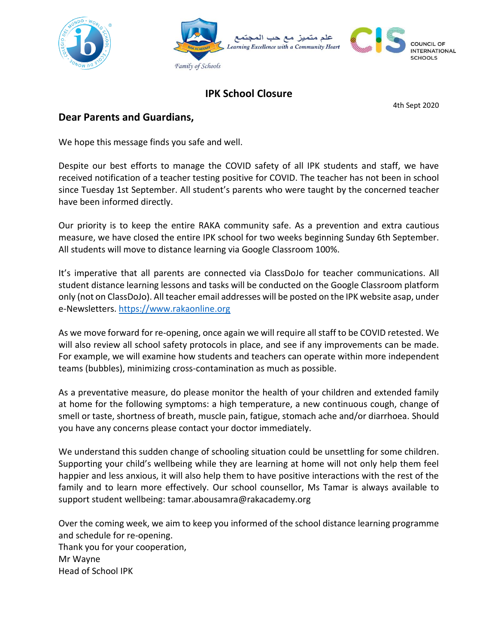



## **IPK School Closure**

4th Sept 2020

## **Dear Parents and Guardians,**

We hope this message finds you safe and well.

Despite our best efforts to manage the COVID safety of all IPK students and staff, we have received notification of a teacher testing positive for COVID. The teacher has not been in school since Tuesday 1st September. All student's parents who were taught by the concerned teacher have been informed directly.

Our priority is to keep the entire RAKA community safe. As a prevention and extra cautious measure, we have closed the entire IPK school for two weeks beginning Sunday 6th September. All students will move to distance learning via Google Classroom 100%.

It's imperative that all parents are connected via ClassDoJo for teacher communications. All student distance learning lessons and tasks will be conducted on the Google Classroom platform only (not on ClassDoJo). All teacher email addresses will be posted on the IPK website asap, under e-Newsletters. [https://www.rakaonline.org](https://www.rakaonline.org/)

As we move forward for re-opening, once again we will require all staff to be COVID retested. We will also review all school safety protocols in place, and see if any improvements can be made. For example, we will examine how students and teachers can operate within more independent teams (bubbles), minimizing cross-contamination as much as possible.

As a preventative measure, do please monitor the health of your children and extended family at home for the following symptoms: a high temperature, a new continuous cough, change of smell or taste, shortness of breath, muscle pain, fatigue, stomach ache and/or diarrhoea. Should you have any concerns please contact your doctor immediately.

We understand this sudden change of schooling situation could be unsettling for some children. Supporting your child's wellbeing while they are learning at home will not only help them feel happier and less anxious, it will also help them to have positive interactions with the rest of the family and to learn more effectively. Our school counsellor, Ms Tamar is always available to support student wellbeing: tamar.abousamra@rakacademy.org

Over the coming week, we aim to keep you informed of the school distance learning programme and schedule for re-opening. Thank you for your cooperation, Mr Wayne Head of School IPK